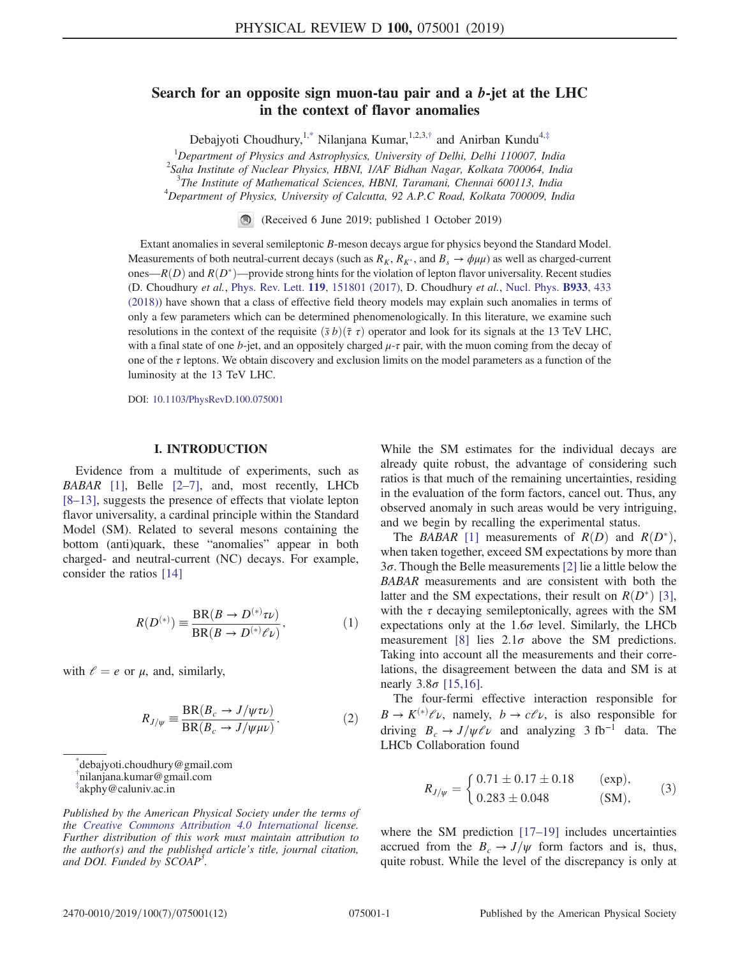# Search for an opposite sign muon-tau pair and a b-jet at the LHC in the context of flavor anomalies

Debajyoti Choudhury,<sup>1,\*</sup> Nilanjana Kumar,<sup>1,2,3,†</sup> and Anirban Kundu<sup>4,‡</sup>

<sup>1</sup>*Department of Physics and Astrophysics, University of Delhi, Delhi 110007, India*

2 *Saha Institute of Nuclear Physics, HBNI, 1/AF Bidhan Nagar, Kolkata 700064, India*

3 *The Institute of Mathematical Sciences, HBNI, Taramani, Chennai 600113, India*

<sup>4</sup>*Department of Physics, University of Calcutta, 92 A.P.C Road, Kolkata 700009, India*

(Received 6 June 2019; published 1 October 2019)

Extant anomalies in several semileptonic B-meson decays argue for physics beyond the Standard Model. Measurements of both neutral-current decays (such as  $R_K$ ,  $R_{K^*}$ , and  $B_s \to \phi \mu \mu$ ) as well as charged-current ones— $R(D)$  and  $R(D^*)$ —provide strong hints for the violation of lepton flavor universality. Recent studies (D. Choudhury *et al.*, Phys. Rev. Lett. 119, 151801 (2017), D. Choudhury *et al.*, Nucl. Phys. B933, 433 (2018)) have shown that a class of effective field theory models may explain such anomalies in terms of only a few parameters which can be determined phenomenologically. In this literature, we examine such resolutions in the context of the requisite  $(\bar{s} b)(\bar{\tau} \tau)$  operator and look for its signals at the 13 TeV LHC, with a final state of one b-jet, and an oppositely charged  $\mu$ - $\tau$  pair, with the muon coming from the decay of one of the  $\tau$  leptons. We obtain discovery and exclusion limits on the model parameters as a function of the luminosity at the 13 TeV LHC.

DOI: 10.1103/PhysRevD.100.075001

#### I. INTRODUCTION

Evidence from a multitude of experiments, such as *BABAR* [1], Belle [2–7], and, most recently, LHCb [8–13], suggests the presence of effects that violate lepton flavor universality, a cardinal principle within the Standard Model (SM). Related to several mesons containing the bottom (anti)quark, these "anomalies" appear in both charged- and neutral-current (NC) decays. For example, consider the ratios [14]

$$
R(D^{(*)}) \equiv \frac{\text{BR}(B \to D^{(*)}\tau\nu)}{\text{BR}(B \to D^{(*)}\ell\nu)},\tag{1}
$$

with  $\ell = e$  or  $\mu$ , and, similarly,

$$
R_{J/\psi} \equiv \frac{\text{BR}(B_c \to J/\psi \tau \nu)}{\text{BR}(B_c \to J/\psi \mu \nu)}.
$$
 (2)

\* debajyoti.choudhury@gmail.com † nilanjana.kumar@gmail.com ‡ akphy@caluniv.ac.in

*Published by the American Physical Society under the terms of the Creative Commons Attribution 4.0 International license. Further distribution of this work must maintain attribution to the author(s) and the published article*'*s title, journal citation, and DOI. Funded by SCOAP<sup>3</sup> .*

While the SM estimates for the individual decays are already quite robust, the advantage of considering such ratios is that much of the remaining uncertainties, residing in the evaluation of the form factors, cancel out. Thus, any observed anomaly in such areas would be very intriguing, and we begin by recalling the experimental status.

The *BABAR* [1] measurements of  $R(D)$  and  $R(D^*)$ , when taken together, exceed SM expectations by more than 3 $\sigma$ . Though the Belle measurements [2] lie a little below the *BABAR* measurements and are consistent with both the latter and the SM expectations, their result on  $R(D^*)$  [3], with the  $\tau$  decaying semileptonically, agrees with the SM expectations only at the  $1.6\sigma$  level. Similarly, the LHCb measurement [8] lies  $2.1\sigma$  above the SM predictions. Taking into account all the measurements and their correlations, the disagreement between the data and SM is at nearly  $3.8\sigma$  [15,16].

The four-fermi effective interaction responsible for  $B \to K^{(*)} \ell \nu$ , namely,  $b \to c \ell \nu$ , is also responsible for driving  $B_c \rightarrow J/\psi \ell \nu$  and analyzing 3 fb<sup>-1</sup> data. The LHCb Collaboration found

$$
R_{J/\psi} = \begin{cases} 0.71 \pm 0.17 \pm 0.18 & \text{(exp)},\\ 0.283 \pm 0.048 & \text{(SM)}, \end{cases}
$$
 (3)

where the SM prediction [17–19] includes uncertainties accrued from the  $B_c \rightarrow J/\psi$  form factors and is, thus, quite robust. While the level of the discrepancy is only at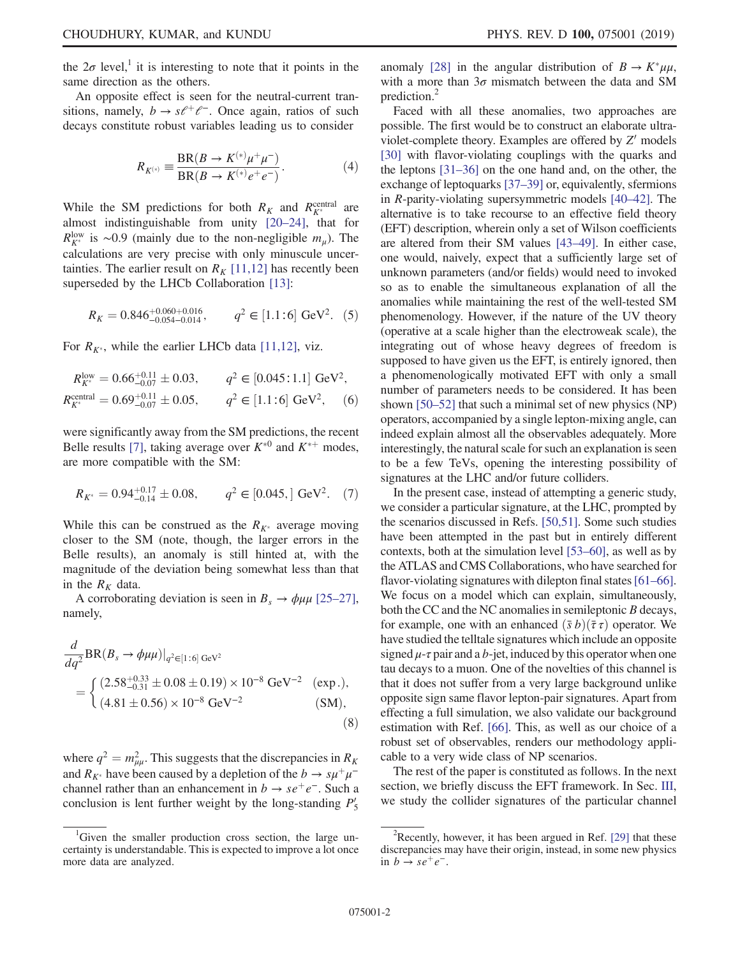the  $2\sigma$  level,<sup>1</sup> it is interesting to note that it points in the same direction as the others.

An opposite effect is seen for the neutral-current transitions, namely,  $b \rightarrow s\ell^+\ell^-$ . Once again, ratios of such decays constitute robust variables leading us to consider

$$
R_{K^{(*)}} = \frac{\text{BR}(B \to K^{(*)} \mu^+ \mu^-)}{\text{BR}(B \to K^{(*)} e^+ e^-)}.
$$
 (4)

While the SM predictions for both  $R_K$  and  $R_{K^*}^{\text{central}}$  are almost indistinguishable from unity [20–24], that for  $R_{K^*}^{\text{low}}$  is ~0.9 (mainly due to the non-negligible  $m_\mu$ ). The calculations are very precise with only minuscule uncertainties. The earlier result on  $R_K$  [11,12] has recently been superseded by the LHCb Collaboration [13]:

$$
R_K = 0.846^{+0.060+0.016}_{-0.054-0.014}, \qquad q^2 \in [1.1:6] \text{ GeV}^2. (5)
$$

For  $R_{K^*}$ , while the earlier LHCb data [11,12], viz.

$$
R_{K^*}^{\text{low}} = 0.66_{-0.07}^{+0.11} \pm 0.03, \qquad q^2 \in [0.045:1.1] \text{ GeV}^2,
$$
  
\n
$$
R_{K^*}^{\text{central}} = 0.69_{-0.07}^{+0.11} \pm 0.05, \qquad q^2 \in [1.1:6] \text{ GeV}^2, \qquad (6)
$$

were significantly away from the SM predictions, the recent Belle results [7], taking average over  $K^{*0}$  and  $K^{*+}$  modes, are more compatible with the SM:

$$
R_{K^*} = 0.94^{+0.17}_{-0.14} \pm 0.08, \qquad q^2 \in [0.045, \,] \text{ GeV}^2. \tag{7}
$$

While this can be construed as the  $R_{K^*}$  average moving closer to the SM (note, though, the larger errors in the Belle results), an anomaly is still hinted at, with the magnitude of the deviation being somewhat less than that in the  $R_K$  data.

A corroborating deviation is seen in  $B_s \rightarrow \phi \mu \mu$  [25–27], namely,

$$
\frac{d}{dq^2} BR(B_s \to \phi \mu \mu)|_{q^2 \in [1:6] \text{ GeV}^2}
$$
\n
$$
= \begin{cases}\n(2.58^{+0.33}_{-0.31} \pm 0.08 \pm 0.19) \times 10^{-8} \text{ GeV}^{-2} & \text{(exp.)}, \\
(4.81 \pm 0.56) \times 10^{-8} \text{ GeV}^{-2} & \text{(SM)},\n\end{cases}
$$
\n(8)

where  $q^2 = m_{\mu\mu}^2$ . This suggests that the discrepancies in  $R_K$ and  $R_{K^*}$  have been caused by a depletion of the  $b \to s\mu^+\mu^$ channel rather than an enhancement in  $b \rightarrow s e^+ e^-$ . Such a conclusion is lent further weight by the long-standing  $P'_5$ 

anomaly [28] in the angular distribution of  $B \to K^* \mu\mu$ , with a more than  $3\sigma$  mismatch between the data and SM prediction.<sup>2</sup>

Faced with all these anomalies, two approaches are possible. The first would be to construct an elaborate ultraviolet-complete theory. Examples are offered by  $Z'$  models [30] with flavor-violating couplings with the quarks and the leptons [31–36] on the one hand and, on the other, the exchange of leptoquarks [37–39] or, equivalently, sfermions in R-parity-violating supersymmetric models [40–42]. The alternative is to take recourse to an effective field theory (EFT) description, wherein only a set of Wilson coefficients are altered from their SM values [43–49]. In either case, one would, naively, expect that a sufficiently large set of unknown parameters (and/or fields) would need to invoked so as to enable the simultaneous explanation of all the anomalies while maintaining the rest of the well-tested SM phenomenology. However, if the nature of the UV theory (operative at a scale higher than the electroweak scale), the integrating out of whose heavy degrees of freedom is supposed to have given us the EFT, is entirely ignored, then a phenomenologically motivated EFT with only a small number of parameters needs to be considered. It has been shown [50–52] that such a minimal set of new physics (NP) operators, accompanied by a single lepton-mixing angle, can indeed explain almost all the observables adequately. More interestingly, the natural scale for such an explanation is seen to be a few TeVs, opening the interesting possibility of signatures at the LHC and/or future colliders.

In the present case, instead of attempting a generic study, we consider a particular signature, at the LHC, prompted by the scenarios discussed in Refs. [50,51]. Some such studies have been attempted in the past but in entirely different contexts, both at the simulation level [53–60], as well as by the ATLAS and CMS Collaborations, who have searched for flavor-violating signatures with dilepton final states [61–66]. We focus on a model which can explain, simultaneously, both the CC and the NC anomalies in semileptonic B decays, for example, one with an enhanced  $(\bar{s} b)(\bar{\tau} \tau)$  operator. We have studied the telltale signatures which include an opposite signed  $\mu$ - $\tau$  pair and a b-jet, induced by this operator when one tau decays to a muon. One of the novelties of this channel is that it does not suffer from a very large background unlike opposite sign same flavor lepton-pair signatures. Apart from effecting a full simulation, we also validate our background estimation with Ref. [66]. This, as well as our choice of a robust set of observables, renders our methodology applicable to a very wide class of NP scenarios.

The rest of the paper is constituted as follows. In the next section, we briefly discuss the EFT framework. In Sec. III, we study the collider signatures of the particular channel

<sup>&</sup>lt;sup>1</sup>Given the smaller production cross section, the large uncertainty is understandable. This is expected to improve a lot once more data are analyzed.

<sup>&</sup>lt;sup>2</sup>Recently, however, it has been argued in Ref. [29] that these discrepancies may have their origin, instead, in some new physics in  $b \rightarrow s e^+ e^-$ .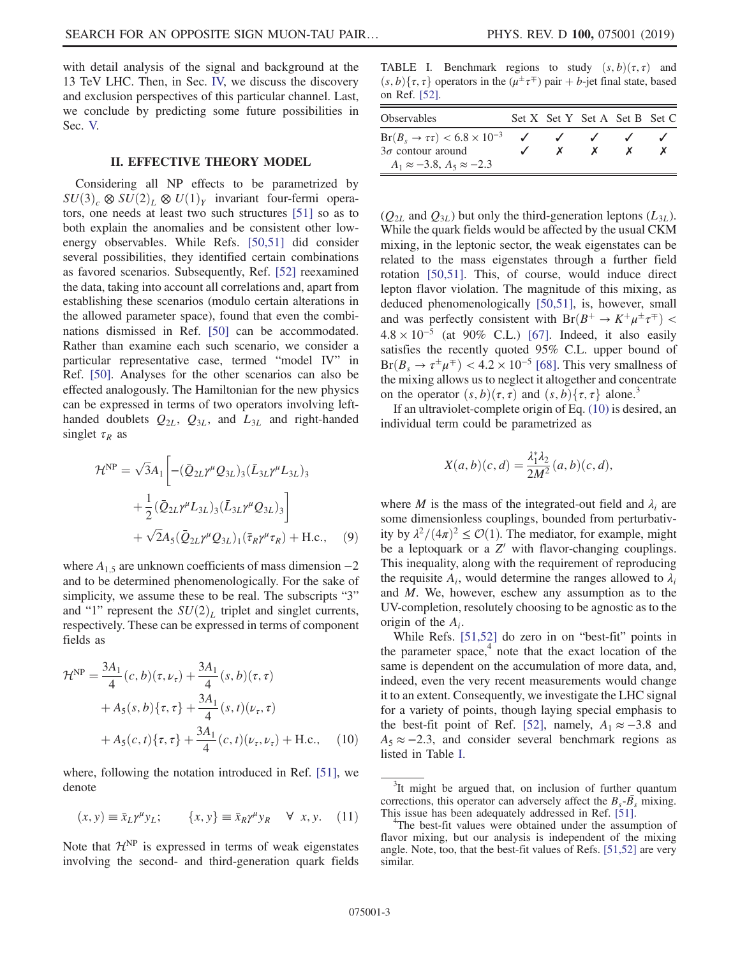with detail analysis of the signal and background at the 13 TeV LHC. Then, in Sec. IV, we discuss the discovery and exclusion perspectives of this particular channel. Last, we conclude by predicting some future possibilities in Sec. V.

#### II. EFFECTIVE THEORY MODEL

Considering all NP effects to be parametrized by  $SU(3)_c \otimes SU(2)_L \otimes U(1)_Y$  invariant four-fermi operators, one needs at least two such structures [51] so as to both explain the anomalies and be consistent other lowenergy observables. While Refs. [50,51] did consider several possibilities, they identified certain combinations as favored scenarios. Subsequently, Ref. [52] reexamined the data, taking into account all correlations and, apart from establishing these scenarios (modulo certain alterations in the allowed parameter space), found that even the combinations dismissed in Ref. [50] can be accommodated. Rather than examine each such scenario, we consider a particular representative case, termed "model IV" in Ref. [50]. Analyses for the other scenarios can also be effected analogously. The Hamiltonian for the new physics can be expressed in terms of two operators involving lefthanded doublets  $Q_{2L}$ ,  $Q_{3L}$ , and  $L_{3L}$  and right-handed singlet  $\tau_R$  as

$$
\mathcal{H}^{\text{NP}} = \sqrt{3}A_1 \left[ -(\bar{Q}_{2L}\gamma^{\mu}Q_{3L})_3 (\bar{L}_{3L}\gamma^{\mu}L_{3L})_3 + \frac{1}{2} (\bar{Q}_{2L}\gamma^{\mu}L_{3L})_3 (\bar{L}_{3L}\gamma^{\mu}Q_{3L})_3 \right] + \sqrt{2}A_5 (\bar{Q}_{2L}\gamma^{\mu}Q_{3L})_1 (\bar{\tau}_R\gamma^{\mu}\tau_R) + \text{H.c.}, \quad (9)
$$

where  $A_{1,5}$  are unknown coefficients of mass dimension  $-2$ and to be determined phenomenologically. For the sake of simplicity, we assume these to be real. The subscripts "3" and "1" represent the  $SU(2)_L$  triplet and singlet currents, respectively. These can be expressed in terms of component fields as

$$
\mathcal{H}^{\text{NP}} = \frac{3A_1}{4} (c, b)(\tau, \nu_{\tau}) + \frac{3A_1}{4} (s, b)(\tau, \tau) \n+ A_5(s, b)\{\tau, \tau\} + \frac{3A_1}{4} (s, t)(\nu_{\tau}, \tau) \n+ A_5(c, t)\{\tau, \tau\} + \frac{3A_1}{4} (c, t)(\nu_{\tau}, \nu_{\tau}) + \text{H.c.}, \quad (10)
$$

where, following the notation introduced in Ref. [51], we denote

$$
(x, y) \equiv \bar{x}_L \gamma^\mu y_L; \qquad \{x, y\} \equiv \bar{x}_R \gamma^\mu y_R \quad \forall \ x, y. \quad (11)
$$

Note that  $\mathcal{H}^{NP}$  is expressed in terms of weak eigenstates involving the second- and third-generation quark fields

TABLE I. Benchmark regions to study  $(s, b)(\tau, \tau)$  and  $(s, b)$ { $\tau$ ,  $\tau$ } operators in the  $(\mu^{\pm} \tau^{\mp})$  pair + *b*-jet final state, based on Ref. [52].

| <b>Observables</b>                                                                                                          |  | Set X Set Y Set A Set B Set C |  |
|-----------------------------------------------------------------------------------------------------------------------------|--|-------------------------------|--|
| $Br(B_s \rightarrow \tau \tau) < 6.8 \times 10^{-3}$<br>$3\sigma$ contour around<br>$A_1 \approx -3.8$ , $A_5 \approx -2.3$ |  |                               |  |

 $(Q_{2L}$  and  $Q_{3L}$ ) but only the third-generation leptons  $(L_{3L})$ . While the quark fields would be affected by the usual CKM mixing, in the leptonic sector, the weak eigenstates can be related to the mass eigenstates through a further field rotation [50,51]. This, of course, would induce direct lepton flavor violation. The magnitude of this mixing, as deduced phenomenologically [50,51], is, however, small and was perfectly consistent with  $Br(B^+ \to K^+ \mu^{\pm} \tau^{\mp})$  <  $4.8 \times 10^{-5}$  (at 90% C.L.) [67]. Indeed, it also easily satisfies the recently quoted 95% C.L. upper bound of  $Br(B<sub>s</sub> \to \tau^{\pm} \mu^{\mp}) < 4.2 \times 10^{-5}$  [68]. This very smallness of the mixing allows us to neglect it altogether and concentrate on the operator  $(s, b)(\tau, \tau)$  and  $(s, b)\{\tau, \tau\}$  alone.<sup>3</sup>

If an ultraviolet-complete origin of Eq. (10) is desired, an individual term could be parametrized as

$$
X(a, b)(c, d) = \frac{\lambda_1^* \lambda_2}{2M^2}(a, b)(c, d),
$$

where M is the mass of the integrated-out field and  $\lambda_i$  are some dimensionless couplings, bounded from perturbativity by  $\lambda^2/(4\pi)^2 \leq \mathcal{O}(1)$ . The mediator, for example, might be a leptoquark or a  $Z'$  with flavor-changing couplings. This inequality, along with the requirement of reproducing the requisite  $A_i$ , would determine the ranges allowed to  $\lambda_i$ and M. We, however, eschew any assumption as to the UV-completion, resolutely choosing to be agnostic as to the origin of the  $A_i$ .

While Refs. [51,52] do zero in on "best-fit" points in the parameter space, $\frac{4}{1}$  note that the exact location of the same is dependent on the accumulation of more data, and, indeed, even the very recent measurements would change it to an extent. Consequently, we investigate the LHC signal for a variety of points, though laying special emphasis to the best-fit point of Ref. [52], namely,  $A_1 \approx -3.8$  and  $A_5 \approx -2.3$ , and consider several benchmark regions as listed in Table I.

<sup>&</sup>lt;sup>3</sup>It might be argued that, on inclusion of further quantum corrections, this operator can adversely affect the  $B_s$ - $\overline{B}_s$  mixing. This issue has been adequately addressed in Ref. [51].

<sup>&</sup>lt;sup>4</sup>The best-fit values were obtained under the assumption of flavor mixing, but our analysis is independent of the mixing angle. Note, too, that the best-fit values of Refs. [51,52] are very similar.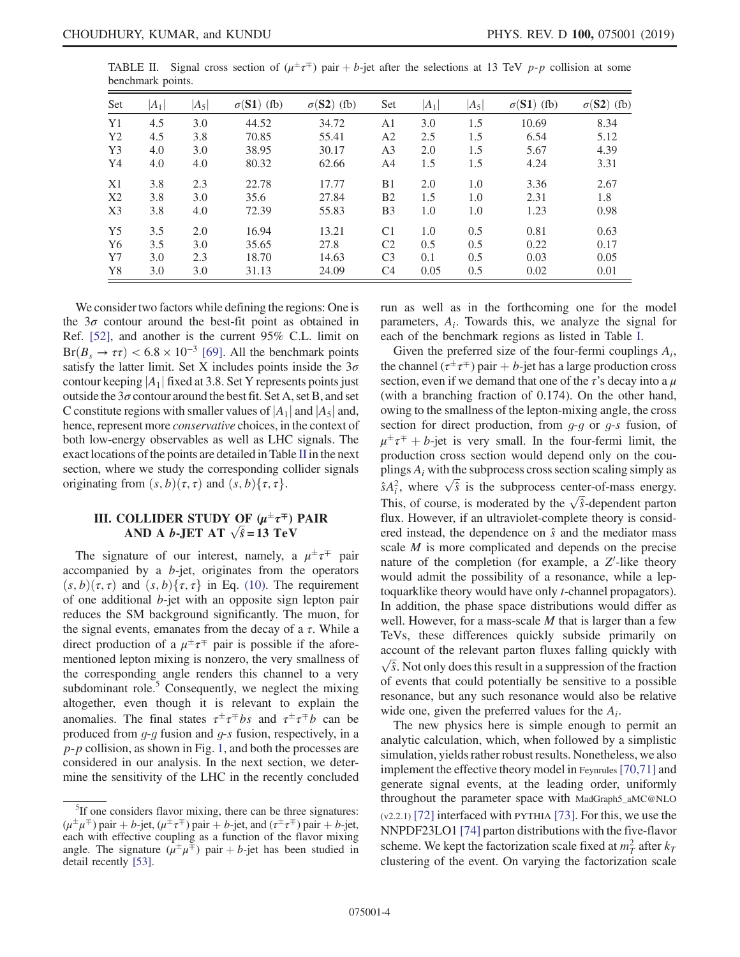|                   |  |  | TABLE II. Signal cross section of $(\mu^{\pm} \tau^{\mp})$ pair + b-jet after the selections at 13 TeV p-p collision at some |  |  |  |  |  |
|-------------------|--|--|------------------------------------------------------------------------------------------------------------------------------|--|--|--|--|--|
| benchmark points. |  |  |                                                                                                                              |  |  |  |  |  |

| Set            | $ A_1 $ | $ A_5 $ | $\sigma(S1)$ (fb) | $\sigma(S2)$ (fb) | Set            | $ A_1 $ | $ A_5 $ | $\sigma(S1)$ (fb) | $\sigma(S2)$ (fb) |
|----------------|---------|---------|-------------------|-------------------|----------------|---------|---------|-------------------|-------------------|
| Y <sub>1</sub> | 4.5     | 3.0     | 44.52             | 34.72             | A1             | 3.0     | 1.5     | 10.69             | 8.34              |
| Y <sub>2</sub> | 4.5     | 3.8     | 70.85             | 55.41             | A <sub>2</sub> | 2.5     | 1.5     | 6.54              | 5.12              |
| Y3             | 4.0     | 3.0     | 38.95             | 30.17             | A <sub>3</sub> | 2.0     | 1.5     | 5.67              | 4.39              |
| Y4             | 4.0     | 4.0     | 80.32             | 62.66             | A4             | 1.5     | 1.5     | 4.24              | 3.31              |
| X1             | 3.8     | 2.3     | 22.78             | 17.77             | B <sub>1</sub> | 2.0     | 1.0     | 3.36              | 2.67              |
| X2             | 3.8     | 3.0     | 35.6              | 27.84             | B <sub>2</sub> | 1.5     | 1.0     | 2.31              | 1.8               |
| X <sub>3</sub> | 3.8     | 4.0     | 72.39             | 55.83             | B <sub>3</sub> | 1.0     | 1.0     | 1.23              | 0.98              |
| Y <sub>5</sub> | 3.5     | 2.0     | 16.94             | 13.21             | C <sub>1</sub> | 1.0     | 0.5     | 0.81              | 0.63              |
| Y <sub>6</sub> | 3.5     | 3.0     | 35.65             | 27.8              | C <sub>2</sub> | 0.5     | 0.5     | 0.22              | 0.17              |
| $Y$ 7          | 3.0     | 2.3     | 18.70             | 14.63             | C <sub>3</sub> | 0.1     | 0.5     | 0.03              | 0.05              |
| Y8             | 3.0     | 3.0     | 31.13             | 24.09             | C <sub>4</sub> | 0.05    | 0.5     | 0.02              | 0.01              |

We consider two factors while defining the regions: One is the  $3\sigma$  contour around the best-fit point as obtained in Ref. [52], and another is the current 95% C.L. limit on  $Br(B<sub>s</sub> \rightarrow \tau\tau) < 6.8 \times 10^{-3}$  [69]. All the benchmark points satisfy the latter limit. Set X includes points inside the  $3\sigma$ contour keeping  $|A_1|$  fixed at 3.8. Set Y represents points just outside the  $3\sigma$  contour around the best fit. Set A, set B, and set C constitute regions with smaller values of  $|A_1|$  and  $|A_5|$  and, hence, represent more *conservative* choices, in the context of both low-energy observables as well as LHC signals. The exact locations of the points are detailed in Table II in the next section, where we study the corresponding collider signals originating from  $(s, b)(\tau, \tau)$  and  $(s, b){\tau, \tau}$ .

## III. COLLIDER STUDY OF  $(\mu^{\pm}\tau^{\mp})$  PAIR AND A *b*-JET AT  $\sqrt{\hat{s}}$  = 13 TeV

The signature of our interest, namely, a  $\mu^{\pm} \tau^{\mp}$  pair accompanied by a b-jet, originates from the operators  $(s, b)(\tau, \tau)$  and  $(s, b){\tau, \tau}$  in Eq. (10). The requirement of one additional b-jet with an opposite sign lepton pair reduces the SM background significantly. The muon, for the signal events, emanates from the decay of a  $\tau$ . While a direct production of a  $\mu^{\pm} \tau^{\mp}$  pair is possible if the aforementioned lepton mixing is nonzero, the very smallness of the corresponding angle renders this channel to a very subdominant role. $5$  Consequently, we neglect the mixing altogether, even though it is relevant to explain the anomalies. The final states  $\tau^{\pm} \tau^{\mp} b s$  and  $\tau^{\pm} \tau^{\mp} b$  can be produced from  $q-q$  fusion and  $q-s$  fusion, respectively, in a  $p-p$  collision, as shown in Fig. 1, and both the processes are considered in our analysis. In the next section, we determine the sensitivity of the LHC in the recently concluded run as well as in the forthcoming one for the model parameters,  $A_i$ . Towards this, we analyze the signal for each of the benchmark regions as listed in Table I.

Given the preferred size of the four-fermi couplings  $A_i$ , the channel  $(\tau^{\pm} \tau^{\mp})$  pair + b-jet has a large production cross section, even if we demand that one of the  $\tau$ 's decay into a  $\mu$ (with a branching fraction of 0.174). On the other hand, owing to the smallness of the lepton-mixing angle, the cross section for direct production, from  $g-g$  or  $g-s$  fusion, of  $\mu^{\pm} \tau^{\mp} + b$ -jet is very small. In the four-fermi limit, the production cross section would depend only on the couplings  $A_i$  with the subprocess cross section scaling simply as  $\hat{s}A_i^2$ , where  $\sqrt{\hat{s}}$  is the subprocess center-of-mass energy. This, of course, is moderated by the  $\sqrt{\hat{s}}$ -dependent parton flux. However, if an ultraviolet-complete theory is considered instead, the dependence on  $\hat{s}$  and the mediator mass scale M is more complicated and depends on the precise nature of the completion (for example, a  $Z'$ -like theory would admit the possibility of a resonance, while a leptoquarklike theory would have only t-channel propagators). In addition, the phase space distributions would differ as well. However, for a mass-scale  $M$  that is larger than a few TeVs, these differences quickly subside primarily on account of the relevant parton fluxes falling quickly with  $\sqrt{\hat{s}}$ . Not only does this result in a suppression of the fraction of events that could potentially be sensitive to a possible resonance, but any such resonance would also be relative wide one, given the preferred values for the  $A_i$ .

The new physics here is simple enough to permit an analytic calculation, which, when followed by a simplistic simulation, yields rather robust results. Nonetheless, we also implement the effective theory model in Feynrules [70,71] and generate signal events, at the leading order, uniformly throughout the parameter space with MadGraph5\_aMC@NLO (v2.2.1) [72] interfaced with PYTHIA [73]. For this, we use the NNPDF23LO1 [74] parton distributions with the five-flavor scheme. We kept the factorization scale fixed at  $m<sub>T</sub><sup>2</sup>$  after  $k_T$ clustering of the event. On varying the factorization scale

<sup>&</sup>lt;sup>5</sup>If one considers flavor mixing, there can be three signatures:  $(\mu^{\pm} \mu^{\mp})$  pair + b-jet,  $(\mu^{\pm} \tau^{\mp})$  pair + b-jet, and  $(\tau^{\pm} \tau^{\mp})$  pair + b-jet, each with effective coupling as a function of the flavor mixing angle. The signature  $(\mu^{\pm} \mu^{\mp})$  pair + b-jet has been studied in detail recently [53].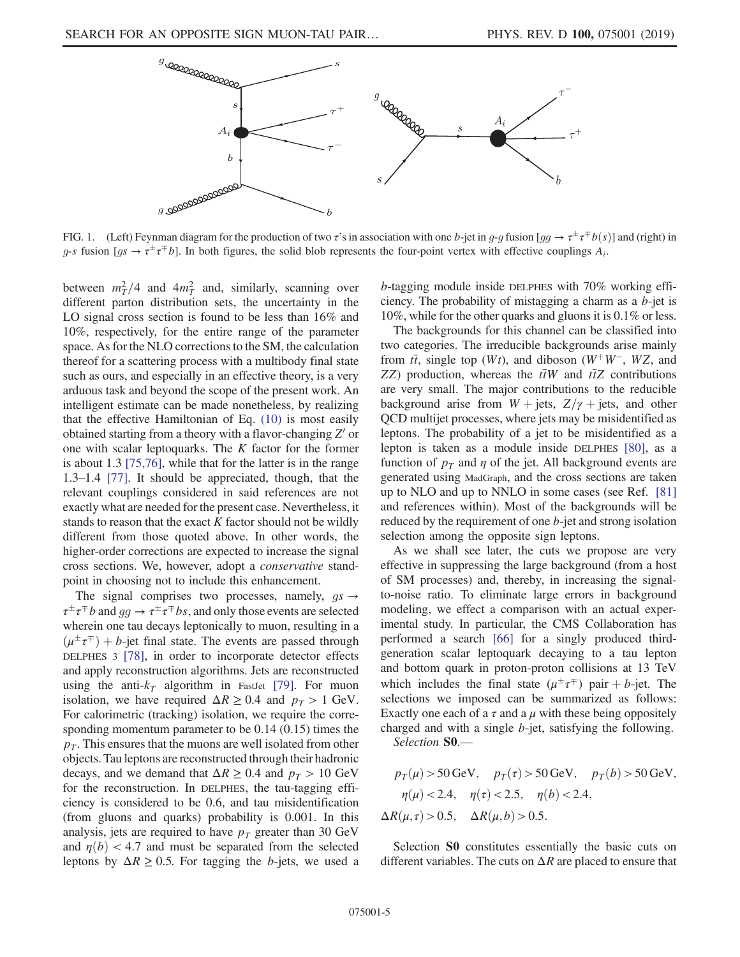

FIG. 1. (Left) Feynman diagram for the production of two  $\tau$ 's in association with one b-jet in g-g fusion [gg  $\rightarrow \tau^{\pm} \tau^{\mp} b(s)$ ] and (right) in g-s fusion  $[gs \rightarrow \tau^{\pm} \tau^{\mp} b]$ . In both figures, the solid blob represents the four-point vertex with effective couplings  $A_i$ .

between  $m_T^2/4$  and  $4m_T^2$  and, similarly, scanning over different parton distribution sets, the uncertainty in the LO signal cross section is found to be less than 16% and 10%, respectively, for the entire range of the parameter space. As for the NLO corrections to the SM, the calculation thereof for a scattering process with a multibody final state such as ours, and especially in an effective theory, is a very arduous task and beyond the scope of the present work. An intelligent estimate can be made nonetheless, by realizing that the effective Hamiltonian of Eq. (10) is most easily obtained starting from a theory with a flavor-changing  $Z'$  or one with scalar leptoquarks. The  $K$  factor for the former is about 1.3 [75,76], while that for the latter is in the range 1.3–1.4 [77]. It should be appreciated, though, that the relevant couplings considered in said references are not exactly what are needed for the present case. Nevertheless, it stands to reason that the exact  $K$  factor should not be wildly different from those quoted above. In other words, the higher-order corrections are expected to increase the signal cross sections. We, however, adopt a *conservative* standpoint in choosing not to include this enhancement.

The signal comprises two processes, namely,  $gs \rightarrow$  $\tau^{\pm} \tau^{\mp} b$  and  $gg \to \tau^{\pm} \tau^{\mp} b s$ , and only those events are selected wherein one tau decays leptonically to muon, resulting in a  $(\mu^{\pm} \tau^{\mp}) + b$ -jet final state. The events are passed through DELPHES 3 [78], in order to incorporate detector effects and apply reconstruction algorithms. Jets are reconstructed using the anti- $k_T$  algorithm in FastJet [79]. For muon isolation, we have required  $\Delta R \geq 0.4$  and  $p_T > 1$  GeV. For calorimetric (tracking) isolation, we require the corresponding momentum parameter to be 0.14 (0.15) times the  $p<sub>T</sub>$ . This ensures that the muons are well isolated from other objects. Tau leptons are reconstructed through their hadronic decays, and we demand that  $\Delta R \geq 0.4$  and  $p_T > 10$  GeV for the reconstruction. In DELPHES, the tau-tagging efficiency is considered to be 0.6, and tau misidentification (from gluons and quarks) probability is 0.001. In this analysis, jets are required to have  $p_T$  greater than 30 GeV and  $\eta(b)$  < 4.7 and must be separated from the selected leptons by  $\Delta R \ge 0.5$ . For tagging the b-jets, we used a b-tagging module inside DELPHES with 70% working efficiency. The probability of mistagging a charm as a b-jet is 10%, while for the other quarks and gluons it is 0.1% or less.

The backgrounds for this channel can be classified into two categories. The irreducible backgrounds arise mainly from  $t\bar{t}$ , single top (Wt), and diboson (W<sup>+</sup>W<sup>−</sup>, WZ, and ZZ) production, whereas the  $t\bar{t}W$  and  $t\bar{t}Z$  contributions are very small. The major contributions to the reducible background arise from  $W + jets$ ,  $Z/\gamma + jets$ , and other QCD multijet processes, where jets may be misidentified as leptons. The probability of a jet to be misidentified as a lepton is taken as a module inside DELPHES [80], as a function of  $p_T$  and  $\eta$  of the jet. All background events are generated using MadGraph, and the cross sections are taken up to NLO and up to NNLO in some cases (see Ref. [81] and references within). Most of the backgrounds will be reduced by the requirement of one b-jet and strong isolation selection among the opposite sign leptons.

As we shall see later, the cuts we propose are very effective in suppressing the large background (from a host of SM processes) and, thereby, in increasing the signalto-noise ratio. To eliminate large errors in background modeling, we effect a comparison with an actual experimental study. In particular, the CMS Collaboration has performed a search [66] for a singly produced thirdgeneration scalar leptoquark decaying to a tau lepton and bottom quark in proton-proton collisions at 13 TeV which includes the final state  $(\mu^{\pm} \tau^{\mp})$  pair + b-jet. The selections we imposed can be summarized as follows: Exactly one each of a  $\tau$  and a  $\mu$  with these being oppositely charged and with a single b-jet, satisfying the following.

*Selection* S0.—

$$
p_T(\mu) > 50 \text{ GeV}, \quad p_T(\tau) > 50 \text{ GeV}, \quad p_T(b) > 50 \text{ GeV},
$$

$$
\eta(\mu) < 2.4, \quad \eta(\tau) < 2.5, \quad \eta(b) < 2.4,
$$

$$
\Delta R(\mu, \tau) > 0.5, \quad \Delta R(\mu, b) > 0.5.
$$

Selection **S0** constitutes essentially the basic cuts on different variables. The cuts on  $\Delta R$  are placed to ensure that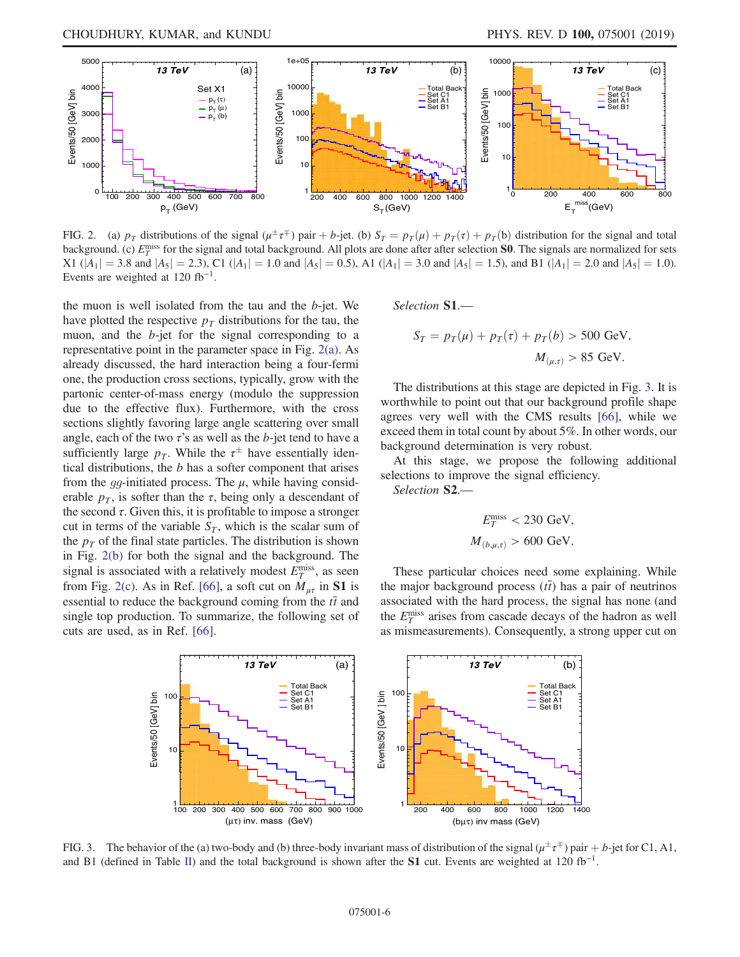

FIG. 2. (a)  $p_T$  distributions of the signal  $(\mu^{\pm} \tau^{\mp})$  pair + b-jet. (b)  $S_T = p_T(\mu) + p_T(\tau) + p_T(b)$  distribution for the signal and total background. (c)  $E_T^{\text{miss}}$  for the signal and total background. All plots are done after after selection **S0**. The signals are normalized for sets X1  $(|A_1| = 3.8$  and  $|A_5| = 2.3$ , C1  $(|A_1| = 1.0$  and  $|A_5| = 0.5$ , A1  $(|A_1| = 3.0$  and  $|A_5| = 1.5$ , and B1  $(|A_1| = 2.0$  and  $|A_5| = 1.0$ ). Events are weighted at  $120$  fb<sup>-1</sup>.

the muon is well isolated from the tau and the  $b$ -jet. We have plotted the respective  $p<sub>T</sub>$  distributions for the tau, the muon, and the b-jet for the signal corresponding to a representative point in the parameter space in Fig. 2(a). As already discussed, the hard interaction being a four-fermi one, the production cross sections, typically, grow with the partonic center-of-mass energy (modulo the suppression due to the effective flux). Furthermore, with the cross sections slightly favoring large angle scattering over small angle, each of the two  $\tau$ 's as well as the b-jet tend to have a sufficiently large  $p_T$ . While the  $\tau^{\pm}$  have essentially identical distributions, the  $b$  has a softer component that arises from the *gg*-initiated process. The  $\mu$ , while having considerable  $p<sub>T</sub>$ , is softer than the  $\tau$ , being only a descendant of the second  $\tau$ . Given this, it is profitable to impose a stronger cut in terms of the variable  $S_T$ , which is the scalar sum of the  $p<sub>T</sub>$  of the final state particles. The distribution is shown in Fig. 2(b) for both the signal and the background. The signal is associated with a relatively modest  $E_T^{\text{miss}}$ , as seen from Fig. 2(c). As in Ref. [66], a soft cut on  $M_{\mu\tau}$  in S1 is essential to reduce the background coming from the  $t\bar{t}$  and single top production. To summarize, the following set of cuts are used, as in Ref. [66].

*Selection* S1.—

$$
S_T = p_T(\mu) + p_T(\tau) + p_T(b) > 500 \text{ GeV},
$$
  

$$
M_{(\mu,\tau)} > 85 \text{ GeV}.
$$

The distributions at this stage are depicted in Fig. 3. It is worthwhile to point out that our background profile shape agrees very well with the CMS results [66], while we exceed them in total count by about 5%. In other words, our background determination is very robust.

At this stage, we propose the following additional selections to improve the signal efficiency.

*Selection* S2.—

$$
E_T^{\text{miss}} < 230 \text{ GeV},
$$
\n
$$
M_{(b,\mu,\tau)} > 600 \text{ GeV}.
$$

These particular choices need some explaining. While the major background process  $(t\bar{t})$  has a pair of neutrinos associated with the hard process, the signal has none (and the  $E_T^{\text{miss}}$  arises from cascade decays of the hadron as well as mismeasurements). Consequently, a strong upper cut on



FIG. 3. The behavior of the (a) two-body and (b) three-body invariant mass of distribution of the signal ( $\mu^{\pm} \tau^{\mp}$ ) pair + b-jet for C1, A1, and B1 (defined in Table II) and the total background is shown after the S1 cut. Events are weighted at 120 fb<sup>-1</sup>.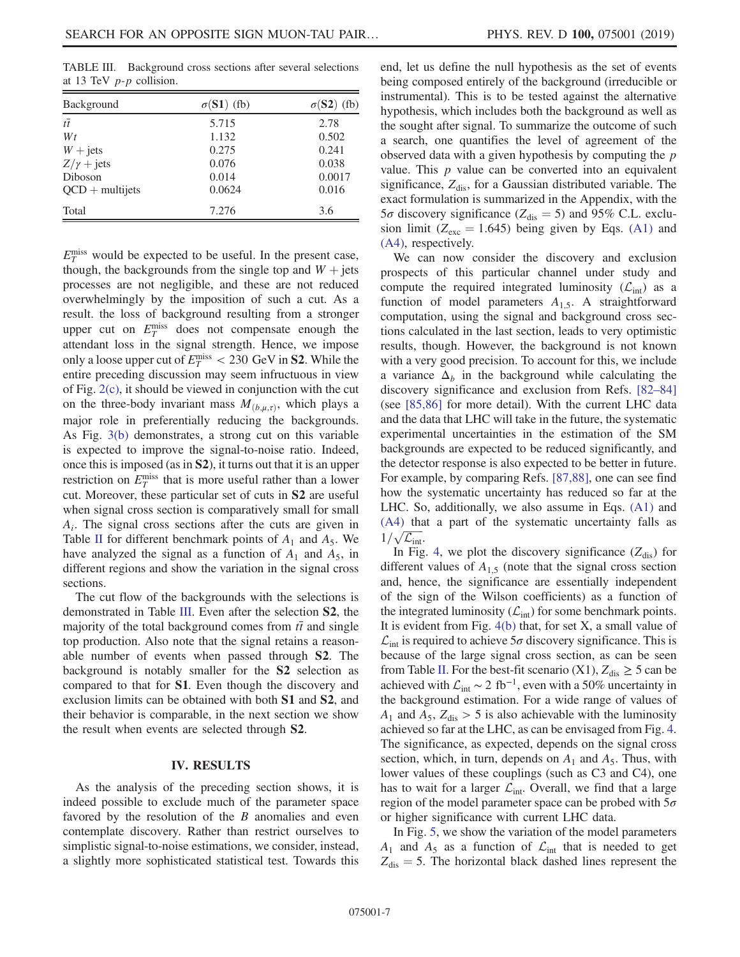TABLE III. Background cross sections after several selections at 13 TeV  $p-p$  collision.

| Background        | $\sigma(S1)$ (fb) | $\sigma(S2)$ (fb) |
|-------------------|-------------------|-------------------|
| $t\overline{t}$   | 5.715             | 2.78              |
| $W_t$             | 1.132             | 0.502             |
| $W + jets$        | 0.275             | 0.241             |
| $Z/\gamma$ + jets | 0.076             | 0.038             |
| Diboson           | 0.014             | 0.0017            |
| $QCD +$ multijets | 0.0624            | 0.016             |
| Total             | 7.276             | 3.6               |

 $E_T^{\text{miss}}$  would be expected to be useful. In the present case, though, the backgrounds from the single top and  $W + j$ ets processes are not negligible, and these are not reduced overwhelmingly by the imposition of such a cut. As a result. the loss of background resulting from a stronger upper cut on  $E_T^{\text{miss}}$  does not compensate enough the attendant loss in the signal strength. Hence, we impose only a loose upper cut of  $E_T^{\text{miss}} < 230 \text{ GeV}$  in **S2**. While the entire preceding discussion may seem infructuous in view of Fig. 2(c), it should be viewed in conjunction with the cut on the three-body invariant mass  $M_{(b,\mu,\tau)}$ , which plays a major role in preferentially reducing the backgrounds. As Fig. 3(b) demonstrates, a strong cut on this variable is expected to improve the signal-to-noise ratio. Indeed, once this is imposed (as in S2), it turns out that it is an upper restriction on  $E_T^{\text{miss}}$  that is more useful rather than a lower cut. Moreover, these particular set of cuts in S2 are useful when signal cross section is comparatively small for small  $A_i$ . The signal cross sections after the cuts are given in Table II for different benchmark points of  $A_1$  and  $A_5$ . We have analyzed the signal as a function of  $A_1$  and  $A_5$ , in different regions and show the variation in the signal cross sections.

The cut flow of the backgrounds with the selections is demonstrated in Table III. Even after the selection S2, the majority of the total background comes from  $t\bar{t}$  and single top production. Also note that the signal retains a reasonable number of events when passed through S2. The background is notably smaller for the S2 selection as compared to that for S1. Even though the discovery and exclusion limits can be obtained with both S1 and S2, and their behavior is comparable, in the next section we show the result when events are selected through S2.

#### IV. RESULTS

As the analysis of the preceding section shows, it is indeed possible to exclude much of the parameter space favored by the resolution of the  $B$  anomalies and even contemplate discovery. Rather than restrict ourselves to simplistic signal-to-noise estimations, we consider, instead, a slightly more sophisticated statistical test. Towards this end, let us define the null hypothesis as the set of events being composed entirely of the background (irreducible or instrumental). This is to be tested against the alternative hypothesis, which includes both the background as well as the sought after signal. To summarize the outcome of such a search, one quantifies the level of agreement of the observed data with a given hypothesis by computing the p value. This  $p$  value can be converted into an equivalent significance,  $Z_{dis}$ , for a Gaussian distributed variable. The exact formulation is summarized in the Appendix, with the  $5\sigma$  discovery significance ( $Z_{\text{dis}} = 5$ ) and 95% C.L. exclusion limit ( $Z_{\text{exc}} = 1.645$ ) being given by Eqs. (A1) and (A4), respectively.

We can now consider the discovery and exclusion prospects of this particular channel under study and compute the required integrated luminosity  $(\mathcal{L}_{int})$  as a function of model parameters  $A_{1,5}$ . A straightforward computation, using the signal and background cross sections calculated in the last section, leads to very optimistic results, though. However, the background is not known with a very good precision. To account for this, we include a variance  $\Delta_b$  in the background while calculating the discovery significance and exclusion from Refs. [82–84] (see [85,86] for more detail). With the current LHC data and the data that LHC will take in the future, the systematic experimental uncertainties in the estimation of the SM backgrounds are expected to be reduced significantly, and the detector response is also expected to be better in future. For example, by comparing Refs. [87,88], one can see find how the systematic uncertainty has reduced so far at the LHC. So, additionally, we also assume in Eqs. (A1) and (A4) that a part of the systematic uncertainty falls as  $1/\sqrt{\mathcal{L}_{\text{int}}}.$ 

In Fig. 4, we plot the discovery significance  $(Z_{dis})$  for different values of  $A_{1,5}$  (note that the signal cross section and, hence, the significance are essentially independent of the sign of the Wilson coefficients) as a function of the integrated luminosity  $(\mathcal{L}_{int})$  for some benchmark points. It is evident from Fig.  $4(b)$  that, for set X, a small value of  $\mathcal{L}_{\text{int}}$  is required to achieve  $5\sigma$  discovery significance. This is because of the large signal cross section, as can be seen from Table II. For the best-fit scenario (X1),  $Z_{dis} \ge 5$  can be achieved with  $\mathcal{L}_{int} \sim 2 \text{ fb}^{-1}$ , even with a 50% uncertainty in the background estimation. For a wide range of values of  $A_1$  and  $A_5$ ,  $Z_{dis} > 5$  is also achievable with the luminosity achieved so far at the LHC, as can be envisaged from Fig. 4. The significance, as expected, depends on the signal cross section, which, in turn, depends on  $A_1$  and  $A_5$ . Thus, with lower values of these couplings (such as C3 and C4), one has to wait for a larger  $\mathcal{L}_{int}$ . Overall, we find that a large region of the model parameter space can be probed with  $5\sigma$ or higher significance with current LHC data.

In Fig. 5, we show the variation of the model parameters  $A_1$  and  $A_5$  as a function of  $\mathcal{L}_{int}$  that is needed to get  $Z_{\text{dis}} = 5$ . The horizontal black dashed lines represent the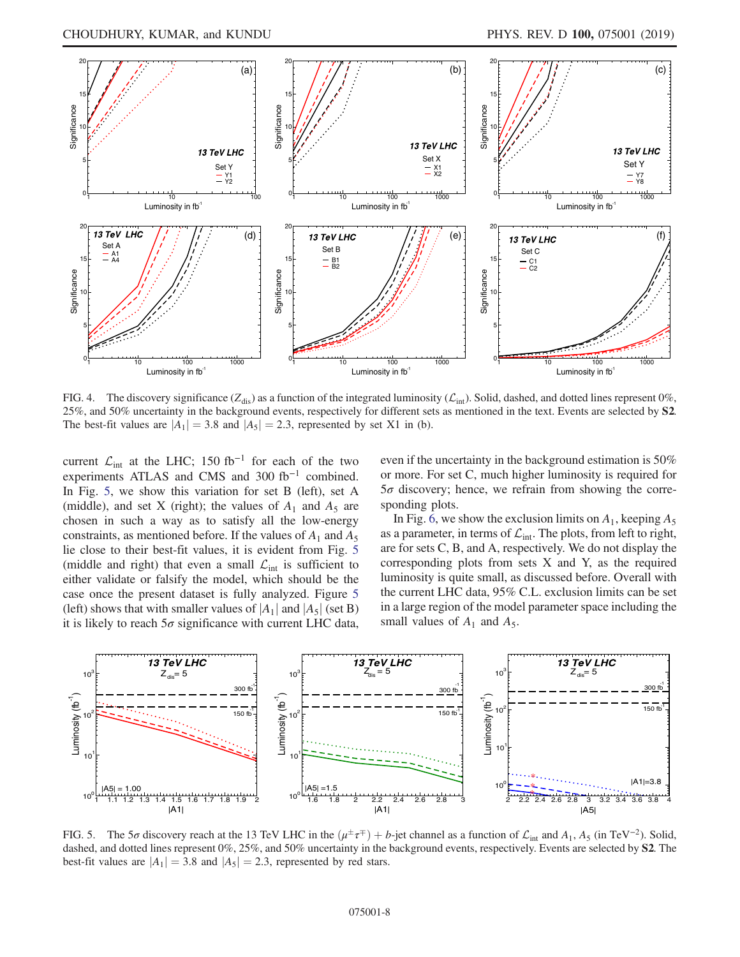

FIG. 4. The discovery significance  $(Z_{dis})$  as a function of the integrated luminosity  $(\mathcal{L}_{int})$ . Solid, dashed, and dotted lines represent 0%, 25%, and 50% uncertainty in the background events, respectively for different sets as mentioned in the text. Events are selected by S2. The best-fit values are  $|A_1| = 3.8$  and  $|A_5| = 2.3$ , represented by set X1 in (b).

current  $\mathcal{L}_{int}$  at the LHC; 150 fb<sup>-1</sup> for each of the two experiments ATLAS and CMS and 300 fb<sup>-1</sup> combined. In Fig. 5, we show this variation for set B (left), set A (middle), and set X (right); the values of  $A_1$  and  $A_5$  are chosen in such a way as to satisfy all the low-energy constraints, as mentioned before. If the values of  $A_1$  and  $A_5$ lie close to their best-fit values, it is evident from Fig. 5 (middle and right) that even a small  $\mathcal{L}_{int}$  is sufficient to either validate or falsify the model, which should be the case once the present dataset is fully analyzed. Figure 5 (left) shows that with smaller values of  $|A_1|$  and  $|A_5|$  (set B) it is likely to reach  $5\sigma$  significance with current LHC data,

even if the uncertainty in the background estimation is 50% or more. For set C, much higher luminosity is required for  $5\sigma$  discovery; hence, we refrain from showing the corresponding plots.

In Fig. 6, we show the exclusion limits on  $A_1$ , keeping  $A_5$ as a parameter, in terms of  $\mathcal{L}_{int}$ . The plots, from left to right, are for sets C, B, and A, respectively. We do not display the corresponding plots from sets X and Y, as the required luminosity is quite small, as discussed before. Overall with the current LHC data, 95% C.L. exclusion limits can be set in a large region of the model parameter space including the small values of  $A_1$  and  $A_5$ .



FIG. 5. The 5 $\sigma$  discovery reach at the 13 TeV LHC in the  $(\mu^{\pm} \tau^{\mp}) + b$ -jet channel as a function of  $\mathcal{L}_{int}$  and  $A_1$ ,  $A_5$  (in TeV<sup>-2</sup>). Solid, dashed, and dotted lines represent 0%, 25%, and 50% uncertainty in the background events, respectively. Events are selected by S2. The best-fit values are  $|A_1| = 3.8$  and  $|A_5| = 2.3$ , represented by red stars.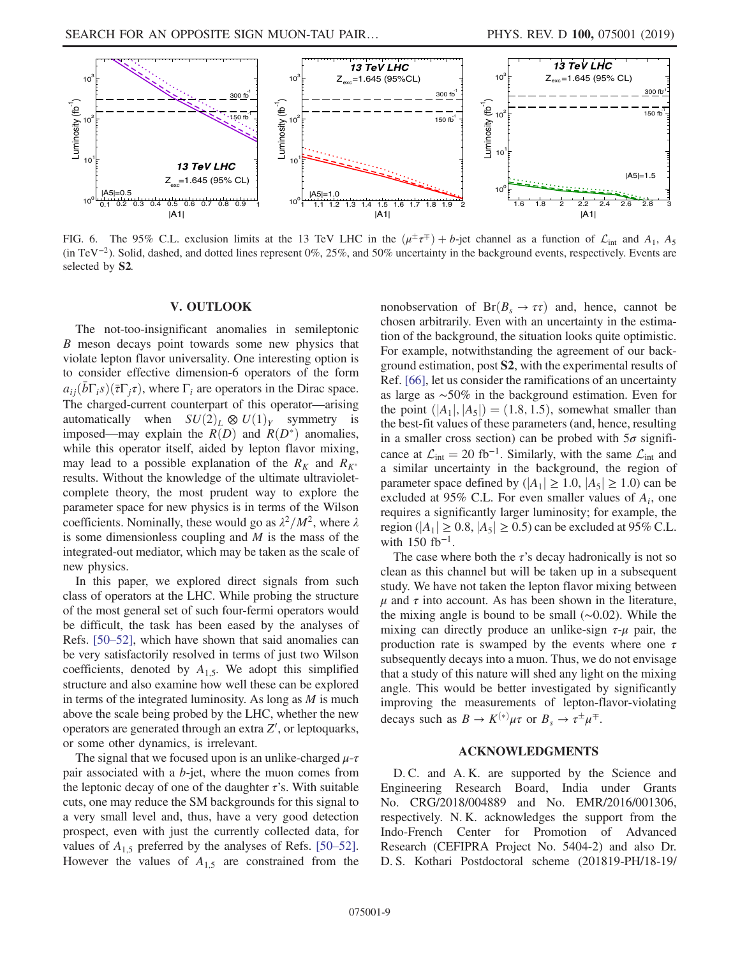

FIG. 6. The 95% C.L. exclusion limits at the 13 TeV LHC in the  $(\mu^{\pm} \tau^{\mp}) + b$ -jet channel as a function of  $\mathcal{L}_{int}$  and  $A_1$ ,  $A_5$ (in TeV<sup>−</sup><sup>2</sup> ). Solid, dashed, and dotted lines represent 0%, 25%, and 50% uncertainty in the background events, respectively. Events are selected by S2.

#### V. OUTLOOK

The not-too-insignificant anomalies in semileptonic B meson decays point towards some new physics that violate lepton flavor universality. One interesting option is to consider effective dimension-6 operators of the form  $a_{ij}(\bar{b}\Gamma_i s)(\bar{\tau}\Gamma_j \tau)$ , where  $\Gamma_i$  are operators in the Dirac space. The charged-current counterpart of this operator—arising automatically when  $SU(2)_L \otimes U(1)_Y$  symmetry is imposed—may explain the  $R(D)$  and  $R(D^*)$  anomalies, while this operator itself, aided by lepton flavor mixing, may lead to a possible explanation of the  $R_K$  and  $R_{K^*}$ results. Without the knowledge of the ultimate ultravioletcomplete theory, the most prudent way to explore the parameter space for new physics is in terms of the Wilson coefficients. Nominally, these would go as  $\lambda^2/M^2$ , where  $\lambda$ is some dimensionless coupling and  $M$  is the mass of the integrated-out mediator, which may be taken as the scale of new physics.

In this paper, we explored direct signals from such class of operators at the LHC. While probing the structure of the most general set of such four-fermi operators would be difficult, the task has been eased by the analyses of Refs. [50–52], which have shown that said anomalies can be very satisfactorily resolved in terms of just two Wilson coefficients, denoted by  $A_{1,5}$ . We adopt this simplified structure and also examine how well these can be explored in terms of the integrated luminosity. As long as  $M$  is much above the scale being probed by the LHC, whether the new operators are generated through an extra  $Z'$ , or leptoquarks, or some other dynamics, is irrelevant.

The signal that we focused upon is an unlike-charged  $\mu$ - $\tau$ pair associated with a  $b$ -jet, where the muon comes from the leptonic decay of one of the daughter  $\tau$ 's. With suitable cuts, one may reduce the SM backgrounds for this signal to a very small level and, thus, have a very good detection prospect, even with just the currently collected data, for values of  $A_{1,5}$  preferred by the analyses of Refs. [50–52]. However the values of  $A_{1,5}$  are constrained from the nonobservation of  $Br(B_s \to \tau\tau)$  and, hence, cannot be chosen arbitrarily. Even with an uncertainty in the estimation of the background, the situation looks quite optimistic. For example, notwithstanding the agreement of our background estimation, post S2, with the experimental results of Ref. [66], let us consider the ramifications of an uncertainty as large as ∼50% in the background estimation. Even for the point  $(|A_1|, |A_5|) = (1.8, 1.5)$ , somewhat smaller than the best-fit values of these parameters (and, hence, resulting in a smaller cross section) can be probed with  $5\sigma$  significance at  $\mathcal{L}_{\text{int}} = 20 \text{ fb}^{-1}$ . Similarly, with the same  $\mathcal{L}_{\text{int}}$  and a similar uncertainty in the background, the region of parameter space defined by  $(|A_1| \ge 1.0, |A_5| \ge 1.0)$  can be excluded at 95% C.L. For even smaller values of  $A_i$ , one requires a significantly larger luminosity; for example, the region ( $|A_1| \ge 0.8$ ,  $|A_5| \ge 0.5$ ) can be excluded at 95% C.L. with  $150$  fb<sup>-1</sup>.

The case where both the  $\tau$ 's decay hadronically is not so clean as this channel but will be taken up in a subsequent study. We have not taken the lepton flavor mixing between  $\mu$  and  $\tau$  into account. As has been shown in the literature, the mixing angle is bound to be small (∼0.02). While the mixing can directly produce an unlike-sign  $\tau$ - $\mu$  pair, the production rate is swamped by the events where one  $\tau$ subsequently decays into a muon. Thus, we do not envisage that a study of this nature will shed any light on the mixing angle. This would be better investigated by significantly improving the measurements of lepton-flavor-violating decays such as  $B \to K^{(*)} \mu \tau$  or  $B_s \to \tau^{\pm} \mu^{\mp}$ .

## ACKNOWLEDGMENTS

D. C. and A. K. are supported by the Science and Engineering Research Board, India under Grants No. CRG/2018/004889 and No. EMR/2016/001306, respectively. N. K. acknowledges the support from the Indo-French Center for Promotion of Advanced Research (CEFIPRA Project No. 5404-2) and also Dr. D. S. Kothari Postdoctoral scheme (201819-PH/18-19/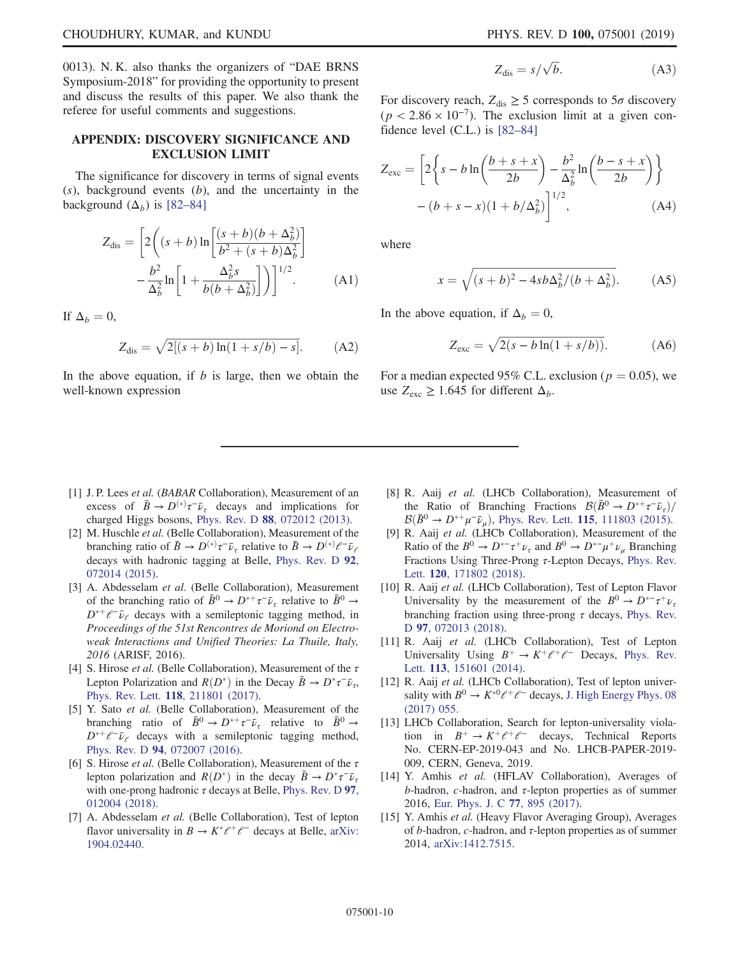0013). N. K. also thanks the organizers of "DAE BRNS Symposium-2018" for providing the opportunity to present and discuss the results of this paper. We also thank the referee for useful comments and suggestions.

### APPENDIX: DISCOVERY SIGNIFICANCE AND EXCLUSION LIMIT

The significance for discovery in terms of signal events  $(s)$ , background events  $(b)$ , and the uncertainty in the background  $(\Delta_b)$  is [82–84]

$$
Z_{dis} = \left[2\left((s+b)\ln\left[\frac{(s+b)(b+\Delta_b^2)}{b^2+(s+b)\Delta_b^2}\right] - \frac{b^2}{\Delta_b^2}\ln\left[1+\frac{\Delta_b^2s}{b(b+\Delta_b^2)}\right]\right)\right]^{1/2}.
$$
 (A1)

If  $\Delta_b = 0$ ,

$$
Z_{dis} = \sqrt{2[(s+b)\ln(1+s/b) - s]}.
$$
 (A2)

In the above equation, if  $b$  is large, then we obtain the well-known expression

$$
Z_{\rm dis} = s/\sqrt{b}.\tag{A3}
$$

For discovery reach,  $Z_{dis} \ge 5$  corresponds to  $5\sigma$  discovery  $(p < 2.86 \times 10^{-7})$ . The exclusion limit at a given confidence level (C.L.) is [82–84]

$$
Z_{\text{exc}} = \left[2\left\{s - b\ln\left(\frac{b+s+x}{2b}\right) - \frac{b^2}{\Delta_b^2}\ln\left(\frac{b-s+x}{2b}\right)\right\}\right]
$$

$$
-(b+s-x)(1+b/\Delta_b^2)\Big]^{1/2},\tag{A4}
$$

where

$$
x = \sqrt{(s+b)^2 - 4sb\Delta_b^2/(b+\Delta_b^2)}.
$$
 (A5)

In the above equation, if  $\Delta_b = 0$ ,

$$
Z_{\text{exc}} = \sqrt{2(s - b \ln(1 + s/b))}.
$$
 (A6)

For a median expected 95% C.L. exclusion ( $p = 0.05$ ), we use  $Z_{\text{exc}} \ge 1.645$  for different  $\Delta_b$ .

- [1] J. P. Lees *et al.* (*BABAR* Collaboration), Measurement of an excess of  $\bar{B} \to D^{(*)}\tau^-\bar{\nu}_{\tau}$  decays and implications for charged Higgs bosons, Phys. Rev. D 88, 072012 (2013).
- [2] M. Huschle *et al.* (Belle Collaboration), Measurement of the branching ratio of  $\bar{B} \to D^{(*)}\tau^- \bar{\nu}_{\tau}$  relative to  $\bar{B} \to D^{(*)}\ell^- \bar{\nu}_{\ell}$ decays with hadronic tagging at Belle, Phys. Rev. D 92, 072014 (2015).
- [3] A. Abdesselam *et al.* (Belle Collaboration), Measurement of the branching ratio of  $\bar{B}^0 \to D^{*+} \tau^- \bar{\nu}_{\tau}$  relative to  $\bar{B}^0 \to$  $D^{*+}e^{-}\bar{\nu}_e$  decays with a semileptonic tagging method, in *Proceedings of the 51st Rencontres de Moriond on Electroweak Interactions and Unified Theories: La Thuile, Italy, 2016* (ARISF, 2016).
- [4] S. Hirose *et al.* (Belle Collaboration), Measurement of the τ Lepton Polarization and  $R(D^*)$  in the Decay  $\bar{B} \to D^* \tau^- \bar{\nu}_{\tau}$ , Phys. Rev. Lett. 118, 211801 (2017).
- [5] Y. Sato *et al.* (Belle Collaboration), Measurement of the branching ratio of  $\bar{B}^0 \to D^{*+} \tau^- \bar{\nu}_{\tau}$  relative to  $\bar{B}^0 \to$  $D^{*+}e^{-}\bar{\nu}_e$  decays with a semileptonic tagging method, Phys. Rev. D 94, 072007 (2016).
- [6] S. Hirose *et al.* (Belle Collaboration), Measurement of the τ lepton polarization and  $R(D^*)$  in the decay  $\bar{B} \to D^* \tau^- \bar{\nu}_{\tau}$ with one-prong hadronic  $\tau$  decays at Belle, Phys. Rev. D 97, 012004 (2018).
- [7] A. Abdesselam *et al.* (Belle Collaboration), Test of lepton flavor universality in  $B \to K^* \ell^+ \ell^-$  decays at Belle, arXiv: 1904.02440.
- [8] R. Aaij *et al.* (LHCb Collaboration), Measurement of the Ratio of Branching Fractions  $\mathcal{B}(\bar{B}^0 \to D^{*+} \tau^- \bar{\nu}_\tau)$  $\mathcal{B}(\bar{B}^0 \to D^{*+}\mu^- \bar{\nu}_\mu)$ , Phys. Rev. Lett. 115, 111803 (2015).
- [9] R. Aaij *et al.* (LHCb Collaboration), Measurement of the Ratio of the  $B^0 \to D^{*-} \tau^+ \nu_{\tau}$  and  $B^0 \to D^{*-} \mu^+ \nu_{\mu}$  Branching Fractions Using Three-Prong τ-Lepton Decays, Phys. Rev. Lett. 120, 171802 (2018).
- [10] R. Aaij *et al.* (LHCb Collaboration), Test of Lepton Flavor Universality by the measurement of the  $B^0 \rightarrow D^{*-} \tau^+ \nu_{\tau}$ branching fraction using three-prong  $\tau$  decays, Phys. Rev. D 97, 072013 (2018).
- [11] R. Aaij *et al.* (LHCb Collaboration), Test of Lepton Universality Using  $B^+ \to K^+ \ell^+ \ell^-$  Decays, Phys. Rev. Lett. 113, 151601 (2014).
- [12] R. Aaij *et al.* (LHCb Collaboration), Test of lepton universality with  $B^0 \to K^{*0} \ell^+ \ell^-$  decays, J. High Energy Phys. 08 (2017) 055.
- [13] LHCb Collaboration, Search for lepton-universality violation in  $B^+ \to K^+ \ell^+ \ell^-$  decays, Technical Reports No. CERN-EP-2019-043 and No. LHCB-PAPER-2019- 009, CERN, Geneva, 2019.
- [14] Y. Amhis *et al.* (HFLAV Collaboration), Averages of b-hadron, c-hadron, and  $\tau$ -lepton properties as of summer 2016, Eur. Phys. J. C 77, 895 (2017).
- [15] Y. Amhis *et al.* (Heavy Flavor Averaging Group), Averages of b-hadron, c-hadron, and  $\tau$ -lepton properties as of summer 2014, arXiv:1412.7515.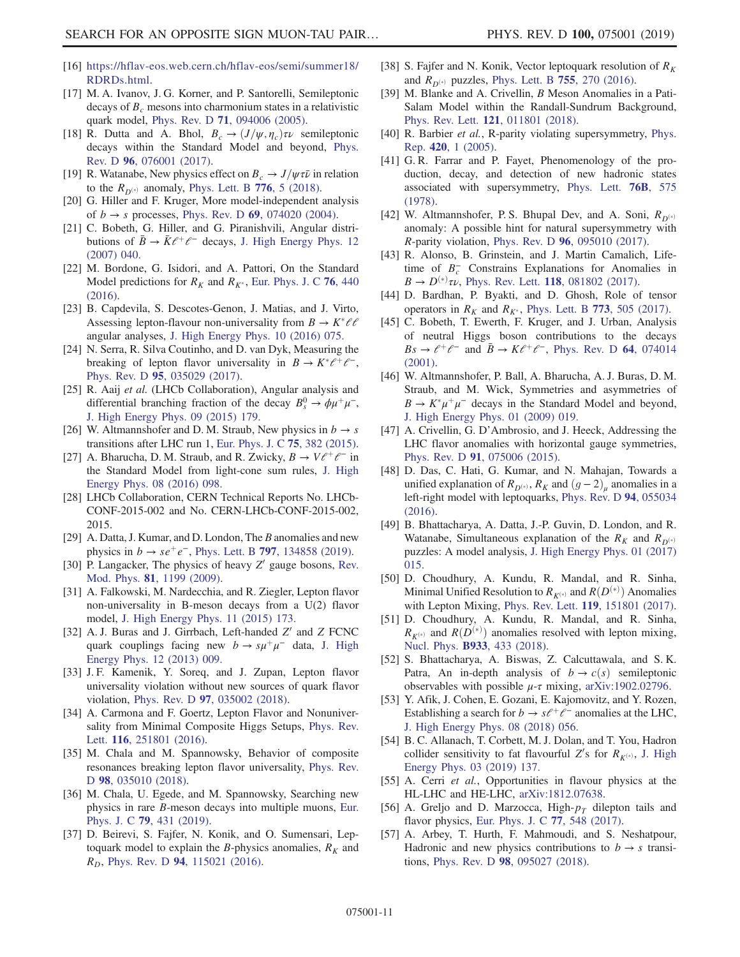- [16] https://hflav-eos.web.cern.ch/hflav-eos/semi/summer18/ RDRDs.html.
- [17] M. A. Ivanov, J. G. Korner, and P. Santorelli, Semileptonic decays of  $B<sub>c</sub>$  mesons into charmonium states in a relativistic quark model, Phys. Rev. D 71, 094006 (2005).
- [18] R. Dutta and A. Bhol,  $B_c \rightarrow (J/\psi, \eta_c)\tau \nu$  semileptonic decays within the Standard Model and beyond, Phys. Rev. D 96, 076001 (2017).
- [19] R. Watanabe, New physics effect on  $B_c \to J/\psi \tau \bar{\nu}$  in relation to the  $R_{D^{(*)}}$  anomaly, Phys. Lett. B 776, 5 (2018).
- [20] G. Hiller and F. Kruger, More model-independent analysis of  $b \to s$  processes, Phys. Rev. D 69, 074020 (2004).
- [21] C. Bobeth, G. Hiller, and G. Piranishvili, Angular distributions of  $\bar{B} \to \bar{K} \ell^+ \ell^-$  decays, J. High Energy Phys. 12 (2007) 040.
- [22] M. Bordone, G. Isidori, and A. Pattori, On the Standard Model predictions for  $R_K$  and  $R_{K^*}$ , Eur. Phys. J. C 76, 440 (2016).
- [23] B. Capdevila, S. Descotes-Genon, J. Matias, and J. Virto, Assessing lepton-flavour non-universality from  $B \to K^* \ell \ell$ angular analyses, J. High Energy Phys. 10 (2016) 075.
- [24] N. Serra, R. Silva Coutinho, and D. van Dyk, Measuring the breaking of lepton flavor universality in  $B \to K^* \ell^+ \ell^-$ , Phys. Rev. D 95, 035029 (2017).
- [25] R. Aaij *et al.* (LHCb Collaboration), Angular analysis and differential branching fraction of the decay  $B_s^0 \rightarrow \phi \mu^+ \mu^-$ , J. High Energy Phys. 09 (2015) 179.
- [26] W. Altmannshofer and D. M. Straub, New physics in  $b \rightarrow s$ transitions after LHC run 1, Eur. Phys. J. C 75, 382 (2015).
- [27] A. Bharucha, D. M. Straub, and R. Zwicky,  $B \to V \ell^+ \ell^-$  in the Standard Model from light-cone sum rules, J. High Energy Phys. 08 (2016) 098.
- [28] LHCb Collaboration, CERN Technical Reports No. LHCb-CONF-2015-002 and No. CERN-LHCb-CONF-2015-002, 2015.
- [29] A. Datta, J. Kumar, and D. London, The  $B$  anomalies and new physics in  $b \to s e^+ e^-$ , Phys. Lett. B **797**, 134858 (2019).
- [30] P. Langacker, The physics of heavy  $Z'$  gauge bosons, Rev. Mod. Phys. 81, 1199 (2009).
- [31] A. Falkowski, M. Nardecchia, and R. Ziegler, Lepton flavor non-universality in B-meson decays from a U(2) flavor model, J. High Energy Phys. 11 (2015) 173.
- [32] A. J. Buras and J. Girrbach, Left-handed  $Z'$  and  $Z$  FCNC quark couplings facing new  $b \to s\mu^+\mu^-$  data, J. High Energy Phys. 12 (2013) 009.
- [33] J. F. Kamenik, Y. Soreq, and J. Zupan, Lepton flavor universality violation without new sources of quark flavor violation, Phys. Rev. D 97, 035002 (2018).
- [34] A. Carmona and F. Goertz, Lepton Flavor and Nonuniversality from Minimal Composite Higgs Setups, Phys. Rev. Lett. 116, 251801 (2016).
- [35] M. Chala and M. Spannowsky, Behavior of composite resonances breaking lepton flavor universality, Phys. Rev. D 98, 035010 (2018).
- [36] M. Chala, U. Egede, and M. Spannowsky, Searching new physics in rare B-meson decays into multiple muons, Eur. Phys. J. C 79, 431 (2019).
- [37] D. Beirevi, S. Fajfer, N. Konik, and O. Sumensari, Leptoquark model to explain the *B*-physics anomalies,  $R_K$  and  $R_D$ , Phys. Rev. D 94, 115021 (2016).
- [38] S. Fajfer and N. Konik, Vector leptoquark resolution of  $R_K$ and  $R_{D^{(*)}}$  puzzles, Phys. Lett. B 755, 270 (2016).
- [39] M. Blanke and A. Crivellin, B Meson Anomalies in a Pati-Salam Model within the Randall-Sundrum Background, Phys. Rev. Lett. 121, 011801 (2018).
- [40] R. Barbier *et al.*, R-parity violating supersymmetry, Phys. Rep. 420, 1 (2005).
- [41] G. R. Farrar and P. Fayet, Phenomenology of the production, decay, and detection of new hadronic states associated with supersymmetry, Phys. Lett. 76B, 575 (1978).
- [42] W. Altmannshofer, P. S. Bhupal Dev, and A. Soni,  $R_{D^{(*)}}$ anomaly: A possible hint for natural supersymmetry with R-parity violation, Phys. Rev. D 96, 095010 (2017).
- [43] R. Alonso, B. Grinstein, and J. Martin Camalich, Lifetime of  $B_c^-$  Constrains Explanations for Anomalies in  $B \to D^{(*)} \tau \nu$ , Phys. Rev. Lett. 118, 081802 (2017).
- [44] D. Bardhan, P. Byakti, and D. Ghosh, Role of tensor operators in  $R_K$  and  $R_{K^*}$ , Phys. Lett. B 773, 505 (2017).
- [45] C. Bobeth, T. Ewerth, F. Kruger, and J. Urban, Analysis of neutral Higgs boson contributions to the decays  $Bs \rightarrow \ell^+ \ell^-$  and  $\bar{B} \rightarrow K \ell^+ \ell^-$ , Phys. Rev. D 64, 074014 (2001).
- [46] W. Altmannshofer, P. Ball, A. Bharucha, A. J. Buras, D. M. Straub, and M. Wick, Symmetries and asymmetries of  $B \to K^* \mu^+ \mu^-$  decays in the Standard Model and beyond, J. High Energy Phys. 01 (2009) 019.
- [47] A. Crivellin, G. D'Ambrosio, and J. Heeck, Addressing the LHC flavor anomalies with horizontal gauge symmetries, Phys. Rev. D 91, 075006 (2015).
- [48] D. Das, C. Hati, G. Kumar, and N. Mahajan, Towards a unified explanation of  $R_{D^{(*)}}$ ,  $R_K$  and  $(g-2)_\mu$  anomalies in a left-right model with leptoquarks, Phys. Rev. D 94, 055034 (2016).
- [49] B. Bhattacharya, A. Datta, J.-P. Guvin, D. London, and R. Watanabe, Simultaneous explanation of the  $R_K$  and  $R_{D(*)}$ puzzles: A model analysis, J. High Energy Phys. 01 (2017) 015.
- [50] D. Choudhury, A. Kundu, R. Mandal, and R. Sinha, Minimal Unified Resolution to  $R_{K^{(*)}}$  and  $R(D^{(*)})$  Anomalies with Lepton Mixing, Phys. Rev. Lett. 119, 151801 (2017).
- [51] D. Choudhury, A. Kundu, R. Mandal, and R. Sinha,  $R_{K^{(*)}}$  and  $R(D^{(*)})$  anomalies resolved with lepton mixing, Nucl. Phys. B933, 433 (2018).
- [52] S. Bhattacharya, A. Biswas, Z. Calcuttawala, and S. K. Patra, An in-depth analysis of  $b \rightarrow c(s)$  semileptonic observables with possible  $\mu$ -τ mixing, arXiv:1902.02796.
- [53] Y. Afik, J. Cohen, E. Gozani, E. Kajomovitz, and Y. Rozen, Establishing a search for  $b \to s\ell^+\ell^-$  anomalies at the LHC, J. High Energy Phys. 08 (2018) 056.
- [54] B. C. Allanach, T. Corbett, M. J. Dolan, and T. You, Hadron collider sensitivity to fat flavourful Z's for  $R_{K^{(*)}}$ , J. High Energy Phys. 03 (2019) 137.
- [55] A. Cerri *et al.*, Opportunities in flavour physics at the HL-LHC and HE-LHC, arXiv:1812.07638.
- [56] A. Greljo and D. Marzocca, High- $p_T$  dilepton tails and flavor physics, Eur. Phys. J. C 77, 548 (2017).
- [57] A. Arbey, T. Hurth, F. Mahmoudi, and S. Neshatpour, Hadronic and new physics contributions to  $b \rightarrow s$  transitions, Phys. Rev. D 98, 095027 (2018).